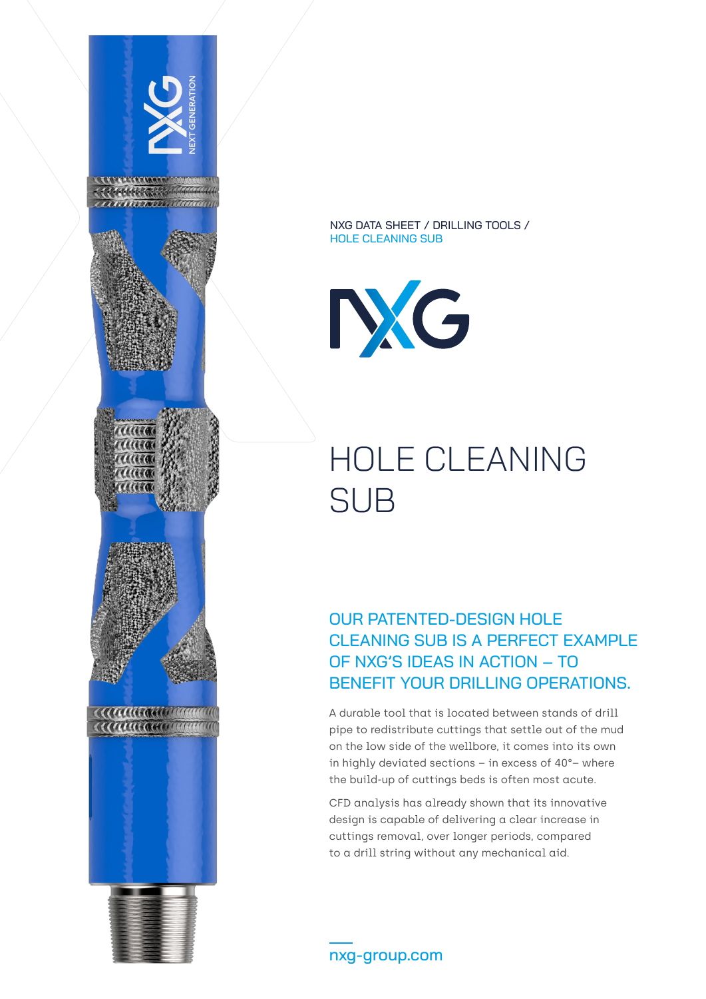

NXG DATA SHEET / DRILLING TOOLS / HOLE CLEANING SUB



## HOLE CLEANING SUB

OUR PATENTED-DESIGN HOLE CLEANING SUB IS A PERFECT EXAMPLE OF NXG'S IDEAS IN ACTION – TO BENEFIT YOUR DRILLING OPERATIONS.

A durable tool that is located between stands of drill pipe to redistribute cuttings that settle out of the mud on the low side of the wellbore, it comes into its own in highly deviated sections – in excess of 40°– where the build-up of cuttings beds is often most acute.

CFD analysis has already shown that its innovative design is capable of delivering a clear increase in cuttings removal, over longer periods, compared to a drill string without any mechanical aid.

nxg-group.com